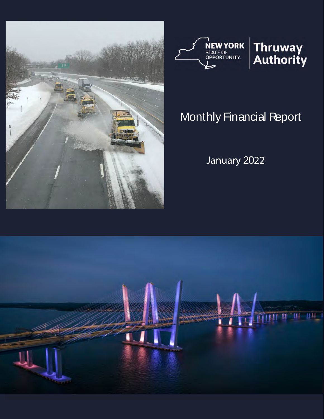



# Monthly Financial Report

January 2022

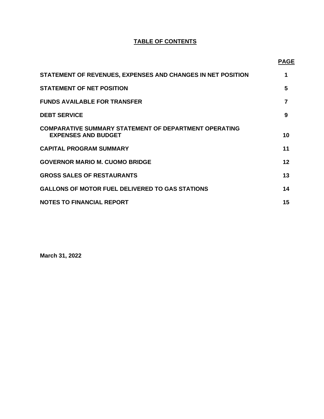# **TABLE OF CONTENTS**

**PAGE** 

| STATEMENT OF REVENUES, EXPENSES AND CHANGES IN NET POSITION                                | 1  |
|--------------------------------------------------------------------------------------------|----|
| <b>STATEMENT OF NET POSITION</b>                                                           | 5  |
| <b>FUNDS AVAILABLE FOR TRANSFER</b>                                                        |    |
| <b>DEBT SERVICE</b>                                                                        | 9  |
| <b>COMPARATIVE SUMMARY STATEMENT OF DEPARTMENT OPERATING</b><br><b>EXPENSES AND BUDGET</b> | 10 |
| <b>CAPITAL PROGRAM SUMMARY</b>                                                             | 11 |
| <b>GOVERNOR MARIO M. CUOMO BRIDGE</b>                                                      | 12 |
| <b>GROSS SALES OF RESTAURANTS</b>                                                          | 13 |
| <b>GALLONS OF MOTOR FUEL DELIVERED TO GAS STATIONS</b>                                     | 14 |
| <b>NOTES TO FINANCIAL REPORT</b>                                                           | 15 |

**March 31, 2022**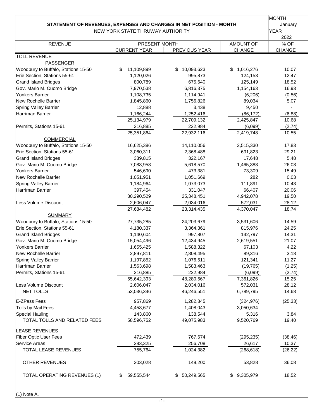|                                                                     |               | <b>MONTH</b>          |
|---------------------------------------------------------------------|---------------|-----------------------|
| STATEMENT OF REVENUES, EXPENSES AND CHANGES IN NET POSITION - MONTH |               | January               |
| NEW YORK STATE THRUWAY AUTHORITY                                    |               | <b>YEAR</b><br>2022   |
| <b>AMOUNT OF</b><br>PRESENT MONTH                                   |               |                       |
| PREVIOUS YEAR                                                       | <b>CHANGE</b> | % OF<br><b>CHANGE</b> |
|                                                                     |               |                       |
|                                                                     |               |                       |
| 10,093,623<br>\$                                                    | \$1,016,276   | 10.07                 |
| 995,873                                                             | 124,153       | 12.47                 |
| 675,640                                                             | 125,149       | 18.52                 |
| 6,816,375                                                           | 1,154,163     | 16.93                 |
| 1,114,941                                                           | (6,206)       | (0.56)                |
| 1,756,826                                                           | 89,034        | 5.07                  |
| 3,438                                                               | 9,450         |                       |
| 1,252,416                                                           | (86, 172)     | (6.88)                |
| 22,709,132                                                          | 2,425,847     | 10.68                 |
| 222,984                                                             | (6,099)       | (2.74)                |
| 22,932,116                                                          | 2,419,748     | 10.55                 |
|                                                                     |               |                       |
| 14,110,056                                                          | 2,515,330     | 17.83                 |
| 2,368,488                                                           | 691,823       | 29.21                 |
| 322,167                                                             | 17,648        | 5.48                  |
| 5,618,570                                                           | 1,465,388     | 26.08                 |
| 473,381                                                             | 73,309        | 15.49                 |
| 1,051,669                                                           | 282           | 0.03                  |
| 1,073,073                                                           | 111,891       | 10.43                 |
| 331,047                                                             | 66,407        | 20.06                 |
| 25,348,451                                                          | 4,942,078     | 19.50                 |
| 2,034,016                                                           | 572,031       | 28.12                 |
| 23,314,435                                                          | 4,370,047     | 18.74                 |
|                                                                     |               |                       |
| 24,203,679                                                          | 3,531,606     | 14.59                 |
| 3,364,361                                                           | 815,976       | 24.25                 |
| 997,807                                                             | 142,797       | 14.31                 |
| 12,434,945                                                          | 2,619,551     | 21.07                 |
| 1,588,322                                                           | 67,103        | 4.22                  |
| 2,808,495                                                           | 89,316        | 3.18                  |
| 1,076,511                                                           | 121,341       | 11.27                 |
| 1,583,463                                                           | (19, 765)     | (1.25)                |
| 222,984                                                             | (6,099)       | (2.74)                |
| 48,280,567                                                          | 7,361,826     | 15.25                 |
| 2,034,016                                                           | 572,031       | 28.12                 |
| 46,246,551                                                          | 6,789,795     | 14.68                 |
| 1,282,845                                                           | (324, 976)    | (25.33)               |
| 1,408,043                                                           | 3,050,634     |                       |
| 138,544                                                             | 5,316         | 3.84                  |
| 49,075,983                                                          | 9,520,769     | 19.40                 |
|                                                                     |               |                       |
|                                                                     |               | (38.46)               |
| 767,674                                                             | (295, 235)    | 10.37                 |
| 256,708                                                             | 26,617        |                       |
| 1,024,382                                                           | (268, 618)    | (26.22)               |
| 149,200                                                             | 53,828        | 36.08                 |
| 50,249,565<br>S.                                                    | \$9,305,979   | 18.52                 |
|                                                                     |               |                       |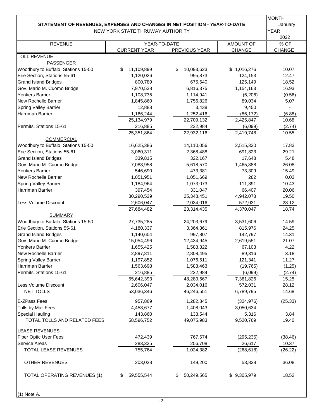|                                                                            |                                  |                  |             | <b>MONTH</b> |
|----------------------------------------------------------------------------|----------------------------------|------------------|-------------|--------------|
| STATEMENT OF REVENUES, EXPENSES AND CHANGES IN NET POSITION - YEAR-TO-DATE |                                  |                  |             | January      |
|                                                                            | NEW YORK STATE THRUWAY AUTHORITY |                  |             | <b>YEAR</b>  |
|                                                                            |                                  |                  |             | 2022         |
| <b>REVENUE</b>                                                             |                                  | YEAR-TO-DATE     | AMOUNT OF   | % OF         |
| <b>TOLL REVENUE</b>                                                        | <b>CURRENT YEAR</b>              | PREVIOUS YEAR    | CHANGE      | CHANGE       |
| <b>PASSENGER</b>                                                           |                                  |                  |             |              |
| Woodbury to Buffalo, Stations 15-50                                        | 11,109,899<br>\$                 | 10,093,623<br>\$ | \$1,016,276 | 10.07        |
| Erie Section, Stations 55-61                                               | 1,120,026                        | 995,873          | 124,153     | 12.47        |
| <b>Grand Island Bridges</b>                                                | 800,789                          | 675,640          | 125,149     | 18.52        |
| Gov. Mario M. Cuomo Bridge                                                 | 7,970,538                        | 6,816,375        | 1,154,163   | 16.93        |
| <b>Yonkers Barrier</b>                                                     | 1,108,735                        | 1,114,941        | (6,206)     | (0.56)       |
| New Rochelle Barrier                                                       | 1,845,860                        | 1,756,826        | 89,034      | 5.07         |
| Spring Valley Barrier                                                      | 12,888                           | 3,438            | 9,450       |              |
| Harriman Barrier                                                           | 1,166,244                        | 1,252,416        | (86, 172)   | (6.88)       |
|                                                                            | 25,134,979                       | 22,709,132       | 2,425,847   | 10.68        |
| Permits, Stations 15-61                                                    | 216,885                          | 222,984          | (6,099)     | (2.74)       |
|                                                                            | 25,351,864                       | 22,932,116       | 2,419,748   | 10.55        |
| <b>COMMERCIAL</b>                                                          |                                  |                  |             |              |
| Woodbury to Buffalo, Stations 15-50                                        | 16,625,386                       | 14,110,056       | 2,515,330   | 17.83        |
| Erie Section, Stations 55-61                                               | 3,060,311                        | 2,368,488        | 691,823     | 29.21        |
| <b>Grand Island Bridges</b>                                                | 339,815                          | 322,167          | 17,648      | 5.48         |
| Gov. Mario M. Cuomo Bridge                                                 | 7,083,958                        | 5,618,570        | 1,465,388   | 26.08        |
| <b>Yonkers Barrier</b>                                                     | 546,690                          | 473,381          | 73,309      | 15.49        |
| <b>New Rochelle Barrier</b>                                                | 1,051,951                        | 1,051,669        | 282         | 0.03         |
| <b>Spring Valley Barrier</b>                                               | 1,184,964                        | 1,073,073        | 111,891     | 10.43        |
| Harriman Barrier                                                           | 397,454                          | 331,047          | 66,407      | 20.06        |
|                                                                            | 30,290,529                       | 25,348,451       | 4,942,078   | 19.50        |
| Less Volume Discount                                                       | 2,606,047                        | 2,034,016        | 572,031     | 28.12        |
|                                                                            | 27,684,482                       | 23,314,435       | 4,370,047   | 18.74        |
| <b>SUMMARY</b>                                                             |                                  |                  |             |              |
| Woodbury to Buffalo, Stations 15-50                                        | 27,735,285                       | 24,203,679       | 3,531,606   | 14.59        |
| Erie Section, Stations 55-61                                               | 4,180,337                        | 3,364,361        | 815,976     | 24.25        |
| <b>Grand Island Bridges</b>                                                | 1,140,604                        | 997,807          | 142,797     | 14.31        |
| Gov. Mario M. Cuomo Bridge                                                 | 15,054,496                       | 12,434,945       | 2,619,551   | 21.07        |
| Yonkers Barrier                                                            | 1,655,425                        | 1,588,322        | 67,103      | 4.22         |
| New Rochelle Barrier                                                       | 2,897,811                        | 2,808,495        | 89,316      | 3.18         |
| <b>Spring Valley Barrier</b>                                               | 1,197,852                        | 1,076,511        | 121,341     | 11.27        |
| <b>Harriman Barrier</b>                                                    | 1,563,698                        | 1,583,463        | (19, 765)   | (1.25)       |
| Permits, Stations 15-61                                                    | 216,885                          | 222,984          | (6,099)     | (2.74)       |
|                                                                            | 55,642,393                       | 48,280,567       | 7,361,826   | 15.25        |
| Less Volume Discount                                                       | 2,606,047                        | 2,034,016        | 572,031     | 28.12        |
| NET TOLLS                                                                  | 53,036,346                       | 46,246,551       | 6,789,795   | 14.68        |
|                                                                            |                                  |                  |             |              |
| E-ZPass Fees                                                               | 957,869                          | 1,282,845        | (324, 976)  | (25.33)      |
| Tolls by Mail Fees                                                         | 4,458,677                        | 1,408,043        | 3,050,634   |              |
| <b>Special Hauling</b>                                                     | 143,860                          | 138,544          | 5,316       | 3.84         |
| TOTAL TOLLS AND RELATED FEES                                               | 58,596,752                       | 49,075,983       | 9,520,769   | 19.40        |
| <b>LEASE REVENUES</b>                                                      |                                  |                  |             |              |
| <b>Fiber Optic User Fees</b>                                               | 472,439                          | 767,674          | (295, 235)  | (38.46)      |
| Service Areas                                                              | 283,325                          | 256,708          | 26,617      | 10.37        |
| TOTAL LEASE REVENUES                                                       | 755,764                          | 1,024,382        | (268, 618)  | (26.22)      |
| OTHER REVENUES                                                             | 203,028                          | 149,200          | 53,828      | 36.08        |
| <b>TOTAL OPERATING REVENUES (1)</b>                                        | 59,555,544                       | 50,249,565       | \$9,305,979 | 18.52        |
|                                                                            |                                  |                  |             |              |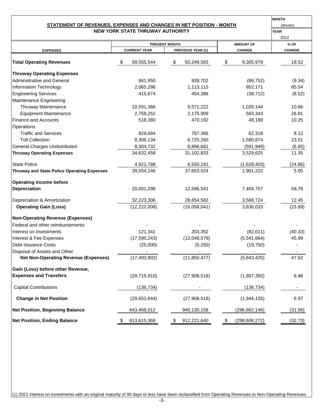#### **NEW YORK STATE THRUWAY AUTHORITY STATEMENT OF REVENUES, EXPENSES AND CHANGES IN NET POSITION - MONTH**

| <b>MONTH</b> |
|--------------|
| January      |
| VEAD         |

|                                                    |                     | <b>PRESENT MONTH</b> | <b>AMOUNT OF</b>      | % OF          |  |  |
|----------------------------------------------------|---------------------|----------------------|-----------------------|---------------|--|--|
| <b>EXPENSES</b>                                    | <b>CURRENT YEAR</b> | PREVIOUS YEAR (1)    | <b>CHANGE</b>         | <b>CHANGE</b> |  |  |
| <b>Total Operating Revenues</b>                    | 59,555,544<br>S     | -\$<br>50,249,565    | 9,305,979<br>\$       | 18.52         |  |  |
| <b>Thruway Operating Expenses</b>                  |                     |                      |                       |               |  |  |
| <b>Administrative and General</b>                  | 841,950             | 928,702              | (86, 752)             | (9.34)        |  |  |
| Information Technology                             | 2,065,286           | 1,113,115            | 952,171               | 85.54         |  |  |
| <b>Engineering Services</b>                        | 415,674             | 454,386              | (38, 712)             | (8.52)        |  |  |
| Maintenance Engineering                            |                     |                      |                       |               |  |  |
| Thruway Maintenance                                | 10,591,366          | 9,571,222            | 1,020,144             | 10.66         |  |  |
| <b>Equipment Maintenance</b>                       | 2,759,252           | 2,175,909            | 583,343               | 26.81         |  |  |
| <b>Finance and Accounts</b>                        | 518,380             | 470,192              | 48,188                | 10.25         |  |  |
| Operations                                         |                     |                      |                       |               |  |  |
| <b>Traffic and Services</b>                        | 829,684             | 767,366              | 62,318                | 8.12          |  |  |
| <b>Toll Collection</b>                             | 8,306,134           | 6,725,260            | 1,580,874             | 23.51         |  |  |
| <b>General Charges Undistributed</b>               | 8,304,732           | 8,896,681            | (591, 949)            | (6.65)        |  |  |
| <b>Thruway Operating Expenses</b>                  | 34,632,458          | 31,102,833           | 3,529,625             | 11.35         |  |  |
| <b>State Police</b>                                | 4,921,788           | 6,550,191            | (1,628,403)           | (24.86)       |  |  |
| <b>Thruway and State Police Operating Expenses</b> | 39,554,246          | 37,653,024           | 1,901,222             | 5.05          |  |  |
| <b>Operating Income before</b>                     |                     |                      |                       |               |  |  |
| Depreciation                                       | 20,001,298          | 12,596,541           | 7,404,757             | 58.78         |  |  |
| Depreciation & Amortization                        | 32,223,306          | 28,654,582           | 3,568,724             | 12.45         |  |  |
| <b>Operating Gain (Loss)</b>                       | (12, 222, 008)      | (16,058,041)         | 3,836,033             | (23.89)       |  |  |
|                                                    |                     |                      |                       |               |  |  |
| <b>Non-Operating Revenue (Expenses)</b>            |                     |                      |                       |               |  |  |
| Federal and other reimbursements                   |                     |                      |                       |               |  |  |
| Interest on Investments                            | 121,341             | 203,352              | (82,011)              | (40.33)       |  |  |
| Interest & Fee Expenses                            | (17,590,243)        | (12,048,579)         | (5,541,664)           | 45.99         |  |  |
| <b>Debt Issuance Costs</b>                         | (25,000)            | (5,250)              | (19, 750)             |               |  |  |
| Disposal of Assets and Other                       |                     |                      |                       |               |  |  |
| <b>Net Non-Operating Revenue (Expenses)</b>        | (17, 493, 902)      | (11,850,477)         | (5,643,425)           | 47.62         |  |  |
| Gain (Loss) before other Revenue,                  |                     |                      |                       |               |  |  |
| <b>Expenses and Transfers</b>                      | (29, 715, 910)      | (27,908,518)         | (1,807,392)           | 6.48          |  |  |
| <b>Capital Contributions</b>                       | (136, 734)          |                      | (136, 734)            | ۰.            |  |  |
| <b>Change in Net Position</b>                      | (29, 852, 644)      | (27,908,518)         | (1,944,126)           | 6.97          |  |  |
| <b>Net Position, Beginning Balance</b>             | 643,468,012         | 940,130,158          | (296,662,146)         | (31.56)       |  |  |
| <b>Net Position, Ending Balance</b>                | 613,615,368<br>\$   | \$<br>912,221,640    | \$<br>(298, 606, 272) | (32.73)       |  |  |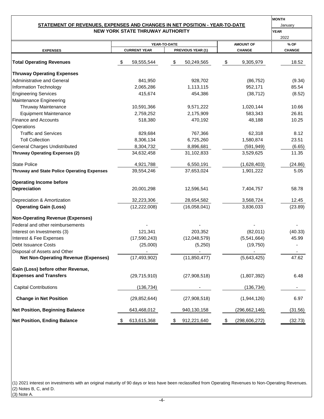#### **NEW YORK STATE THRUWAY AUTHORITY STATEMENT OF REVENUES, EXPENSES AND CHANGES IN NET POSITION - YEAR-TO-DATE**

| <b>MONTH</b> |
|--------------|
| January      |
| <b>YEAR</b>  |

|                                                    |    |                     |              |                   |                  |                 | 2022          |  |
|----------------------------------------------------|----|---------------------|--------------|-------------------|------------------|-----------------|---------------|--|
|                                                    |    |                     | YEAR-TO-DATE |                   | <b>AMOUNT OF</b> |                 | % OF          |  |
| <b>EXPENSES</b>                                    |    | <b>CURRENT YEAR</b> |              | PREVIOUS YEAR (1) |                  | <b>CHANGE</b>   | <b>CHANGE</b> |  |
| <b>Total Operating Revenues</b>                    |    | 59,555,544          | \$           | 50,249,565        | \$               | 9,305,979       | 18.52         |  |
| <b>Thruway Operating Expenses</b>                  |    |                     |              |                   |                  |                 |               |  |
| <b>Administrative and General</b>                  |    | 841,950             |              | 928,702           |                  | (86, 752)       | (9.34)        |  |
| Information Technology                             |    | 2,065,286           |              | 1,113,115         |                  | 952,171         | 85.54         |  |
| <b>Engineering Services</b>                        |    | 415,674             |              | 454,386           |                  | (38, 712)       | (8.52)        |  |
| Maintenance Engineering                            |    |                     |              |                   |                  |                 |               |  |
| Thruway Maintenance                                |    | 10,591,366          |              | 9,571,222         |                  | 1,020,144       | 10.66         |  |
| <b>Equipment Maintenance</b>                       |    | 2,759,252           |              | 2,175,909         |                  | 583,343         | 26.81         |  |
| <b>Finance and Accounts</b>                        |    | 518,380             |              | 470,192           |                  | 48,188          | 10.25         |  |
| Operations                                         |    |                     |              |                   |                  |                 |               |  |
| <b>Traffic and Services</b>                        |    | 829,684             |              | 767,366           |                  | 62,318          | 8.12          |  |
| <b>Toll Collection</b>                             |    | 8,306,134           |              | 6,725,260         |                  | 1,580,874       | 23.51         |  |
| <b>General Charges Undistributed</b>               |    | 8,304,732           |              | 8,896,681         |                  | (591, 949)      | (6.65)        |  |
| <b>Thruway Operating Expenses (2)</b>              |    | 34,632,458          |              | 31,102,833        |                  | 3,529,625       | 11.35         |  |
| <b>State Police</b>                                |    | 4,921,788           |              | 6,550,191         |                  | (1,628,403)     | (24.86)       |  |
| <b>Thruway and State Police Operating Expenses</b> |    | 39,554,246          |              | 37,653,024        |                  | 1,901,222       | 5.05          |  |
| <b>Operating Income before</b>                     |    |                     |              |                   |                  |                 |               |  |
| Depreciation                                       |    | 20,001,298          |              | 12,596,541        |                  | 7,404,757       | 58.78         |  |
| Depreciation & Amortization                        |    | 32,223,306          |              | 28,654,582        |                  | 3,568,724       | 12.45         |  |
| <b>Operating Gain (Loss)</b>                       |    | (12, 222, 008)      |              | (16,058,041)      |                  | 3,836,033       | (23.89)       |  |
| <b>Non-Operating Revenue (Expenses)</b>            |    |                     |              |                   |                  |                 |               |  |
| Federal and other reimbursements                   |    |                     |              |                   |                  |                 |               |  |
| Interest on Investments (3)                        |    | 121,341             |              | 203,352           |                  | (82,011)        | (40.33)       |  |
| Interest & Fee Expenses                            |    | (17,590,243)        |              | (12,048,579)      |                  | (5,541,664)     | 45.99         |  |
| Debt Issuance Costs                                |    | (25,000)            |              | (5,250)           |                  | (19,750)        |               |  |
| Disposal of Assets and Other                       |    |                     |              |                   |                  |                 |               |  |
| <b>Net Non-Operating Revenue (Expenses)</b>        |    | (17, 493, 902)      |              | (11, 850, 477)    |                  | (5,643,425)     | 47.62         |  |
| Gain (Loss) before other Revenue,                  |    |                     |              |                   |                  |                 |               |  |
| <b>Expenses and Transfers</b>                      |    | (29, 715, 910)      |              | (27,908,518)      |                  | (1,807,392)     | 6.48          |  |
| <b>Capital Contributions</b>                       |    | (136, 734)          |              |                   |                  | (136, 734)      |               |  |
| <b>Change in Net Position</b>                      |    | (29, 852, 644)      |              | (27,908,518)      |                  | (1,944,126)     | 6.97          |  |
| <b>Net Position, Beginning Balance</b>             |    | 643,468,012         |              | 940,130,158       |                  | (296, 662, 146) | (31.56)       |  |
| <b>Net Position, Ending Balance</b>                | \$ | 613,615,368         | \$           | 912,221,640       | \$               | (298, 606, 272) | (32.73)       |  |

(1) 2021 interest on investments with an original maturity of 90 days or less have been reclassified from Operating Revenues to Non-Operating Revenues. (2) Notes B, C, and D. (3) Note A.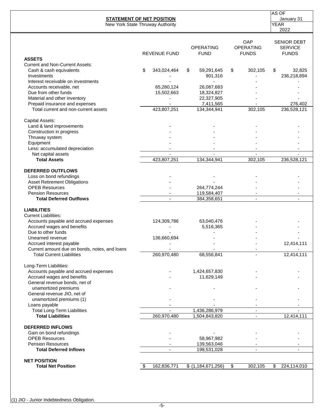|                                                                   | <b>STATEMENT OF NET POSITION</b> |                                 |                                  | AS OF<br>January 31                                  |
|-------------------------------------------------------------------|----------------------------------|---------------------------------|----------------------------------|------------------------------------------------------|
|                                                                   | New York State Thruway Authority |                                 |                                  | <b>YEAR</b><br>2022                                  |
|                                                                   | <b>REVENUE FUND</b>              | <b>OPERATING</b><br><b>FUND</b> | OAP<br>OPERATING<br><b>FUNDS</b> | <b>SENIOR DEBT</b><br><b>SERVICE</b><br><b>FUNDS</b> |
| <b>ASSETS</b>                                                     |                                  |                                 |                                  |                                                      |
| <b>Current and Non-Current Assets:</b><br>Cash & cash equivalents | \$<br>343,024,464                | \$                              |                                  | \$                                                   |
| Investments                                                       |                                  | 59,291,645<br>901,316           | \$<br>302,105                    | 32,825<br>236,218,894                                |
| Interest receivable on investments                                |                                  |                                 |                                  |                                                      |
| Accounts receivable, net                                          | 65,280,124                       | 26,087,683                      |                                  |                                                      |
| Due from other funds                                              | 15,502,663                       | 18,324,827                      |                                  |                                                      |
| Material and other inventory                                      |                                  | 22,327,905                      |                                  |                                                      |
| Prepaid insurance and expenses                                    |                                  | 7,411,565                       |                                  | 276,402                                              |
| Total current and non-current assets                              | 423,807,251                      | 134,344,941                     | 302,105                          | 236,528,121                                          |
|                                                                   |                                  |                                 |                                  |                                                      |
| Capital Assets:                                                   |                                  |                                 |                                  |                                                      |
| Land & land improvements                                          |                                  |                                 |                                  |                                                      |
| Construction in progress                                          |                                  |                                 |                                  |                                                      |
| Thruway system                                                    |                                  |                                 |                                  |                                                      |
| Equipment                                                         |                                  |                                 |                                  |                                                      |
| Less: accumulated depreciation                                    |                                  |                                 |                                  |                                                      |
| Net capital assets                                                | $\sim$                           | $\mathcal{L}_{\mathcal{A}}$     | $\mathbf{u}$                     | $\mathbf{r}$                                         |
| <b>Total Assets</b>                                               | 423,807,251                      | 134,344,941                     | 302,105                          | 236,528,121                                          |
|                                                                   |                                  |                                 |                                  |                                                      |
| <b>DEFERRED OUTFLOWS</b>                                          |                                  |                                 |                                  |                                                      |
| Loss on bond refundings                                           |                                  |                                 |                                  |                                                      |
| <b>Asset Retirement Obligations</b>                               |                                  |                                 |                                  |                                                      |
| <b>OPEB Resources</b>                                             |                                  | 264,774,244                     |                                  |                                                      |
| <b>Pension Resources</b>                                          |                                  | 119,584,407                     |                                  |                                                      |
| <b>Total Deferred Outflows</b>                                    |                                  | 384,358,651                     |                                  |                                                      |
| <b>LIABILITIES</b>                                                |                                  |                                 |                                  |                                                      |
| <b>Current Liabilities:</b>                                       |                                  |                                 |                                  |                                                      |
| Accounts payable and accrued expenses                             | 124,309,786                      | 63,040,476                      |                                  |                                                      |
| Accrued wages and benefits                                        |                                  | 5,516,365                       |                                  |                                                      |
| Due to other funds                                                |                                  |                                 |                                  |                                                      |
| Unearned revenue                                                  | 136,660,694                      |                                 |                                  |                                                      |
| Accrued interest payable                                          |                                  |                                 |                                  | 12,414,111                                           |
| Current amount due on bonds, notes, and loans                     |                                  |                                 |                                  |                                                      |
| <b>Total Current Liabilities</b>                                  | 260,970,480                      | 68,556,841                      |                                  | 12,414,111                                           |
|                                                                   |                                  |                                 |                                  |                                                      |
| Long-Term Liabilities:                                            |                                  |                                 |                                  |                                                      |
| Accounts payable and accrued expenses                             |                                  | 1,424,657,830                   |                                  |                                                      |
| Accrued wages and benefits                                        |                                  | 11,629,149                      |                                  |                                                      |
| General revenue bonds, net of                                     |                                  |                                 |                                  |                                                      |
| unamortized premiums                                              |                                  |                                 |                                  |                                                      |
| General revenue JIO, net of                                       |                                  |                                 |                                  |                                                      |
| unamortized premiums (1)                                          |                                  |                                 |                                  |                                                      |
| Loans payable                                                     |                                  |                                 |                                  |                                                      |
| <b>Total Long-Term Liabilities</b>                                |                                  | 1,436,286,979                   |                                  |                                                      |
| <b>Total Liabilities</b>                                          | 260,970,480                      | 1,504,843,820                   |                                  | 12,414,111                                           |
| <b>DEFERRED INFLOWS</b>                                           |                                  |                                 |                                  |                                                      |
| Gain on bond refundings                                           |                                  |                                 |                                  |                                                      |
| <b>OPEB Resources</b>                                             |                                  | 58,967,982                      |                                  |                                                      |
| <b>Pension Resources</b>                                          |                                  | 139,563,046                     |                                  |                                                      |
| <b>Total Deferred Inflows</b>                                     |                                  | 198,531,028                     | $\overline{\phantom{a}}$         |                                                      |
|                                                                   |                                  |                                 |                                  |                                                      |
| <b>NET POSITION</b><br><b>Total Net Position</b>                  | 162,836,771<br>\$                | \$(1,184,671,256)               | 302,105<br>\$                    | \$<br>224,114,010                                    |
|                                                                   |                                  |                                 |                                  |                                                      |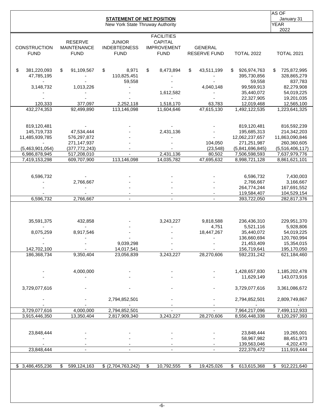|                                    |                                                     | <b>STATEMENT OF NET POSITION</b><br>New York State Thruway Authority |                                                                          |                                       |                            | AS OF<br>January 31<br><b>YEAR</b> |
|------------------------------------|-----------------------------------------------------|----------------------------------------------------------------------|--------------------------------------------------------------------------|---------------------------------------|----------------------------|------------------------------------|
| <b>CONSTRUCTION</b><br><b>FUND</b> | <b>RESERVE</b><br><b>MAINTENANCE</b><br><b>FUND</b> | <b>JUNIOR</b><br><b>INDEBTEDNESS</b><br><b>FUND</b>                  | <b>FACILITIES</b><br><b>CAPITAL</b><br><b>IMPROVEMENT</b><br><b>FUND</b> | <b>GENERAL</b><br><b>RESERVE FUND</b> | <b>TOTAL 2022</b>          | 2022<br><b>TOTAL 2021</b>          |
| \$<br>381,220,093                  | \$<br>91,109,567                                    | \$<br>8,971                                                          | \$<br>8,473,894                                                          | \$<br>43,511,199                      | \$<br>926,974,763          | 725,872,995<br>\$.                 |
| 47,785,195                         |                                                     | 110,825,451<br>59,558                                                |                                                                          |                                       | 395,730,856<br>59,558      | 328,865,279<br>837,783             |
| 3,148,732                          | 1,013,226                                           |                                                                      |                                                                          | 4,040,148                             | 99,569,913                 | 82,279,908                         |
|                                    |                                                     |                                                                      | 1,612,582                                                                |                                       | 35,440,072                 | 54,019,225                         |
|                                    |                                                     |                                                                      |                                                                          |                                       | 22,327,905                 | 19,201,035                         |
| 120,333                            | 377,097                                             | 2,252,118                                                            | 1,518,170                                                                | 63,783                                | 12,019,468                 | 12,565,100                         |
| 432,274,353                        | 92,499,890                                          | 113,146,098                                                          | 11,604,646                                                               | 47,615,130                            | 1,492,122,535              | 1,223,641,325                      |
| 819,120,481                        |                                                     |                                                                      |                                                                          |                                       | 819,120,481                | 816,592,239                        |
| 145,719,733                        | 47,534,444                                          |                                                                      | 2,431,136                                                                |                                       | 195,685,313                | 214,342,203                        |
| 11,485,939,785                     | 576,297,872                                         |                                                                      |                                                                          |                                       | 12,062,237,657             | 11,863,090,846                     |
|                                    | 271,147,937                                         |                                                                      |                                                                          | 104,050                               | 271,251,987                | 260,360,605                        |
| (5,463,901,054)                    | (377, 772, 243)                                     |                                                                      | 2,431,136                                                                | (23, 548)                             | (5,841,696,845)            | (5,516,406,117)                    |
| 6,986,878,945                      | 517,208,010                                         | 113,146,098                                                          | 14,035,782                                                               | 80,502<br>47,695,632                  | 7,506,598,593              | 7,637,979,776                      |
| 7,419,153,298                      | 609,707,900                                         |                                                                      |                                                                          |                                       | 8,998,721,128              | 8,861,621,101                      |
| 6,596,732                          |                                                     |                                                                      |                                                                          |                                       | 6,596,732                  | 7,430,003                          |
|                                    | 2,766,667                                           |                                                                      |                                                                          |                                       | 2,766,667                  | 3,166,667                          |
|                                    |                                                     |                                                                      |                                                                          |                                       | 264,774,244                | 167,691,552                        |
| 6,596,732                          | 2,766,667                                           |                                                                      |                                                                          | $\blacksquare$                        | 119,584,407                | 104,529,154                        |
|                                    |                                                     |                                                                      |                                                                          |                                       | 393,722,050                | 282,817,376                        |
| 35,591,375                         | 432,858                                             |                                                                      | 3,243,227                                                                | 9,818,588                             | 236,436,310                | 229,951,370                        |
|                                    |                                                     |                                                                      |                                                                          | 4,751                                 | 5,521,116                  | 5,928,806                          |
| 8,075,259                          | 8,917,546                                           |                                                                      |                                                                          | 18,447,267                            | 35,440,072                 | 54,019,225                         |
|                                    |                                                     |                                                                      |                                                                          |                                       | 136,660,694                | 120,760,994                        |
| 142,702,100                        |                                                     | 9,039,298<br>14,017,541                                              |                                                                          |                                       | 21,453,409                 | 15,354,015                         |
| 186,368,734                        | $\sim$<br>9,350,404                                 | 23,056,839                                                           | 3,243,227                                                                | 28,270,606                            | 156,719,641<br>592,231,242 | 195,170,050<br>621,184,460         |
|                                    |                                                     |                                                                      |                                                                          |                                       |                            |                                    |
|                                    | 4,000,000                                           |                                                                      |                                                                          |                                       | 1,428,657,830              | 1,185,202,478                      |
|                                    |                                                     |                                                                      |                                                                          |                                       | 11,629,149                 | 143,073,916                        |
| 3,729,077,616                      |                                                     |                                                                      |                                                                          |                                       | 3,729,077,616              | 3,361,086,672                      |
|                                    |                                                     | 2,794,852,501                                                        |                                                                          |                                       | 2,794,852,501              | 2,809,749,867                      |
| 3,729,077,616                      | 4,000,000                                           | 2,794,852,501                                                        |                                                                          |                                       | 7,964,217,096              | 7,499,112,933                      |
| 3,915,446,350                      | 13,350,404                                          | 2,817,909,340                                                        | 3,243,227                                                                | 28,270,606                            | 8,556,448,338              | 8,120,297,393                      |
|                                    |                                                     |                                                                      |                                                                          |                                       |                            |                                    |
| 23,848,444                         |                                                     |                                                                      |                                                                          |                                       | 23,848,444                 | 19,265,001                         |
|                                    |                                                     |                                                                      |                                                                          |                                       | 58,967,982                 | 88,451,973                         |
| 23,848,444                         | $\overline{\phantom{a}}$                            | $\overline{\phantom{a}}$                                             | $\overline{\phantom{a}}$                                                 |                                       | 139,563,046<br>222,379,472 | 4,202,470<br>111,919,444           |
|                                    |                                                     |                                                                      |                                                                          |                                       |                            |                                    |
| \$3,486,455,236                    | 599,124,163<br>\$                                   | \$ (2,704,763,242)                                                   | $\overline{\mathbf{e}}$<br>10,792,555                                    | \$<br>19,425,026                      | 613,615,368<br>\$          | 912,221,640<br>S                   |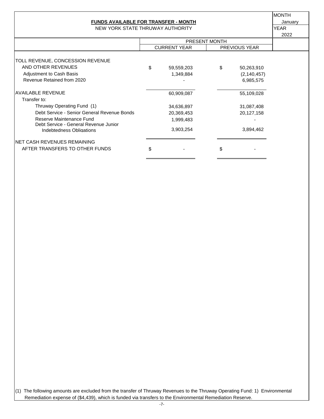#### **FUNDS AVAILABLE FOR TRANSFER - MONTH January** January

NEW YORK STATE THRUWAY AUTHORITY **WAS CONSIDER THANK** YEAR

MONTH

|                                                                   |                     |    |                      | 2022 |  |
|-------------------------------------------------------------------|---------------------|----|----------------------|------|--|
|                                                                   | PRESENT MONTH       |    |                      |      |  |
|                                                                   | <b>CURRENT YEAR</b> |    | <b>PREVIOUS YEAR</b> |      |  |
|                                                                   |                     |    |                      |      |  |
| TOLL REVENUE, CONCESSION REVENUE                                  |                     |    |                      |      |  |
| AND OTHER REVENUES                                                | \$<br>59,559,203    | \$ | 50,263,910           |      |  |
| Adjustment to Cash Basis                                          | 1,349,884           |    | (2, 140, 457)        |      |  |
| Revenue Retained from 2020                                        |                     |    | 6,985,575            |      |  |
| <b>AVAILABLE REVENUE</b>                                          | 60,909,087          |    | 55,109,028           |      |  |
| Transfer to:                                                      |                     |    |                      |      |  |
| Thruway Operating Fund (1)                                        | 34,636,897          |    | 31,087,408           |      |  |
| Debt Service - Senior General Revenue Bonds                       | 20,369,453          |    | 20,127,158           |      |  |
| Reserve Maintenance Fund<br>Debt Service - General Revenue Junior | 1,999,483           |    |                      |      |  |
| Indebtedness Obligations                                          | 3,903,254           |    | 3,894,462            |      |  |
| INET CASH REVENUES REMAINING                                      |                     |    |                      |      |  |
| AFTER TRANSFERS TO OTHER FUNDS                                    | \$                  | \$ |                      |      |  |
|                                                                   |                     |    |                      |      |  |

(1) The following amounts are excluded from the transfer of Thruway Revenues to the Thruway Operating Fund: 1) Environmental Remediation expense of (\$4,439), which is funded via transfers to the Environmental Remediation Reserve.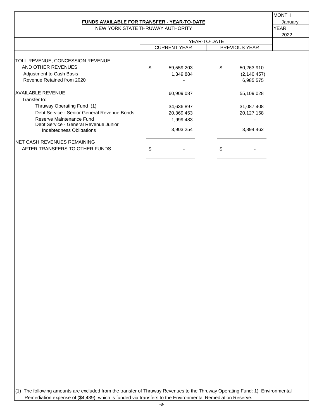#### **FUNDS AVAILABLE FOR TRANSFER - YEAR-TO-DATE FOR THE STAND ALL STANDARD AND ALL STANDARD ATTACKS**

NEW YORK STATE THRUWAY AUTHORITY VEAR

MONTH

|                                                                   |                     |    |                      | 2022 |  |
|-------------------------------------------------------------------|---------------------|----|----------------------|------|--|
|                                                                   | YEAR-TO-DATE        |    |                      |      |  |
|                                                                   | <b>CURRENT YEAR</b> |    | <b>PREVIOUS YEAR</b> |      |  |
|                                                                   |                     |    |                      |      |  |
| TOLL REVENUE, CONCESSION REVENUE                                  |                     |    |                      |      |  |
| AND OTHER REVENUES                                                | \$<br>59,559,203    | \$ | 50,263,910           |      |  |
| <b>Adjustment to Cash Basis</b>                                   | 1,349,884           |    | (2, 140, 457)        |      |  |
| Revenue Retained from 2020                                        |                     |    | 6,985,575            |      |  |
| <b>AVAILABLE REVENUE</b>                                          | 60,909,087          |    | 55,109,028           |      |  |
| Transfer to:                                                      |                     |    |                      |      |  |
| Thruway Operating Fund (1)                                        | 34,636,897          |    | 31,087,408           |      |  |
| Debt Service - Senior General Revenue Bonds                       | 20,369,453          |    | 20,127,158           |      |  |
| Reserve Maintenance Fund<br>Debt Service - General Revenue Junior | 1,999,483           |    |                      |      |  |
| Indebtedness Obligations                                          | 3,903,254           |    | 3,894,462            |      |  |
| INET CASH REVENUES REMAINING                                      |                     |    |                      |      |  |
| AFTER TRANSFERS TO OTHER FUNDS                                    | \$                  | \$ |                      |      |  |
|                                                                   |                     |    |                      |      |  |

(1) The following amounts are excluded from the transfer of Thruway Revenues to the Thruway Operating Fund: 1) Environmental Remediation expense of (\$4,439), which is funded via transfers to the Environmental Remediation Reserve.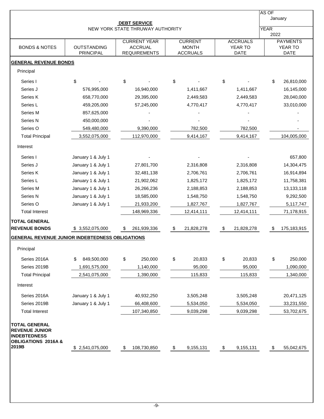|                                                                                                                 |                                 |                                                              |                                                   |                                           | AS OF                                     |
|-----------------------------------------------------------------------------------------------------------------|---------------------------------|--------------------------------------------------------------|---------------------------------------------------|-------------------------------------------|-------------------------------------------|
|                                                                                                                 |                                 | <b>DEBT SERVICE</b>                                          |                                                   |                                           | January                                   |
|                                                                                                                 |                                 | NEW YORK STATE THRUWAY AUTHORITY                             |                                                   |                                           | <b>YEAR</b><br>2022                       |
| <b>BONDS &amp; NOTES</b>                                                                                        | OUTSTANDING<br><b>PRINCIPAL</b> | <b>CURRENT YEAR</b><br><b>ACCRUAL</b><br><b>REQUIREMENTS</b> | <b>CURRENT</b><br><b>MONTH</b><br><b>ACCRUALS</b> | <b>ACCRUALS</b><br>YEAR TO<br><b>DATE</b> | <b>PAYMENTS</b><br>YEAR TO<br><b>DATE</b> |
| <b>GENERAL REVENUE BONDS</b>                                                                                    |                                 |                                                              |                                                   |                                           |                                           |
| Principal                                                                                                       |                                 |                                                              |                                                   |                                           |                                           |
|                                                                                                                 |                                 |                                                              |                                                   |                                           |                                           |
| Series I<br>Series J                                                                                            | \$<br>576,995,000               | \$<br>16,940,000                                             | \$<br>1,411,667                                   | \$<br>1,411,667                           | \$<br>26,810,000<br>16,145,000            |
| Series K                                                                                                        | 658,770,000                     | 29,395,000                                                   | 2,449,583                                         | 2,449,583                                 | 28,040,000                                |
| Series L                                                                                                        | 459,205,000                     | 57,245,000                                                   | 4,770,417                                         | 4,770,417                                 | 33,010,000                                |
| Series M                                                                                                        | 857,625,000                     |                                                              |                                                   |                                           |                                           |
| Series N                                                                                                        | 450,000,000                     |                                                              |                                                   |                                           |                                           |
| Series O                                                                                                        | 549,480,000                     | 9,390,000                                                    | 782,500                                           | 782,500                                   |                                           |
| <b>Total Principal</b>                                                                                          | 3,552,075,000                   | 112,970,000                                                  | 9,414,167                                         | 9,414,167                                 | 104,005,000                               |
| Interest                                                                                                        |                                 |                                                              |                                                   |                                           |                                           |
| Series I                                                                                                        | January 1 & July 1              |                                                              |                                                   |                                           | 657,800                                   |
| Series J                                                                                                        | January 1 & July 1              | 27,801,700                                                   | 2,316,808                                         | 2,316,808                                 | 14,304,475                                |
| Series K                                                                                                        | January 1 & July 1              | 32,481,138                                                   | 2,706,761                                         | 2,706,761                                 | 16,914,894                                |
| Series L                                                                                                        | January 1 & July 1              | 21,902,062                                                   | 1,825,172                                         | 1,825,172                                 | 11,758,381                                |
| Series M                                                                                                        | January 1 & July 1              | 26,266,236                                                   | 2,188,853                                         | 2,188,853                                 | 13,133,118                                |
| Series N                                                                                                        | January 1 & July 1              | 18,585,000                                                   | 1,548,750                                         | 1,548,750                                 | 9,292,500                                 |
| Series O                                                                                                        | January 1 & July 1              | 21,933,200                                                   | 1,827,767                                         | 1,827,767                                 | 5,117,747                                 |
| <b>Total Interest</b>                                                                                           |                                 | 148,969,336                                                  | 12,414,111                                        | 12,414,111                                | 71,178,915                                |
| <b>TOTAL GENERAL</b>                                                                                            |                                 |                                                              |                                                   |                                           |                                           |
| <b>REVENUE BONDS</b>                                                                                            | \$3,552,075,000                 | 261,939,336<br>\$                                            | 21,828,278<br>\$                                  | 21,828,278<br>\$                          | 175,183,915<br>\$                         |
| GENERAL REVENUE JUNIOR INDEBTEDNESS OBLIGATIONS                                                                 |                                 |                                                              |                                                   |                                           |                                           |
| Principal                                                                                                       |                                 |                                                              |                                                   |                                           |                                           |
| Series 2016A                                                                                                    | \$<br>849,500,000               | \$<br>250,000                                                | \$<br>20,833                                      | \$<br>20,833                              | \$<br>250,000                             |
| Series 2019B                                                                                                    | 1,691,575,000                   | 1,140,000                                                    | 95,000                                            | 95,000                                    | 1,090,000                                 |
| <b>Total Principal</b>                                                                                          | 2,541,075,000                   | 1,390,000                                                    | 115,833                                           | 115,833                                   | 1,340,000                                 |
| Interest                                                                                                        |                                 |                                                              |                                                   |                                           |                                           |
| Series 2016A                                                                                                    | January 1 & July 1              | 40,932,250                                                   | 3,505,248                                         | 3,505,248                                 | 20,471,125                                |
| Series 2019B                                                                                                    | January 1 & July 1              | 66,408,600                                                   | 5,534,050                                         | 5,534,050                                 | 33,231,550                                |
| <b>Total Interest</b>                                                                                           |                                 | 107,340,850                                                  | 9,039,298                                         | 9,039,298                                 | 53,702,675                                |
| <b>TOTAL GENERAL</b><br><b>REVENUE JUNIOR</b><br><b>INDEBTEDNESS</b><br><b>OBLIGATIONS 2016A &amp;</b><br>2019B | \$ 2,541,075,000                | 108,730,850<br>\$                                            | 9,155,131<br>$\sqrt[6]{\frac{1}{2}}$              | $\boldsymbol{\mathsf{S}}$<br>9,155,131    | \$<br>55,042,675                          |
|                                                                                                                 |                                 |                                                              |                                                   |                                           |                                           |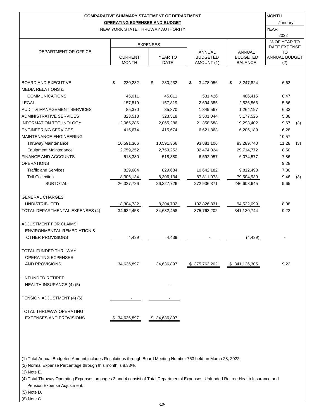|                                        |                | <b>COMPARATIVE SUMMARY STATEMENT OF DEPARTMENT</b> |                           |                           | <b>MONTH</b>        |     |  |
|----------------------------------------|----------------|----------------------------------------------------|---------------------------|---------------------------|---------------------|-----|--|
|                                        |                | <b>OPERATING EXPENSES AND BUDGET</b>               |                           |                           | January             |     |  |
|                                        |                | NEW YORK STATE THRUWAY AUTHORITY                   |                           |                           | YEAR                |     |  |
|                                        |                |                                                    |                           |                           | 2022                |     |  |
|                                        |                | <b>EXPENSES</b>                                    |                           |                           | % OF YEAR TO        |     |  |
| DEPARTMENT OR OFFICE                   |                |                                                    |                           |                           | DATE EXPENSE        |     |  |
|                                        | <b>CURRENT</b> | <b>YEAR TO</b>                                     | ANNUAL<br><b>BUDGETED</b> | ANNUAL<br><b>BUDGETED</b> | то<br>ANNUAL BUDGET |     |  |
|                                        | <b>MONTH</b>   | DATE                                               | AMOUNT (1)                | <b>BALANCE</b>            | (2)                 |     |  |
|                                        |                |                                                    |                           |                           |                     |     |  |
|                                        |                |                                                    |                           |                           |                     |     |  |
| <b>BOARD AND EXECUTIVE</b>             | \$<br>230,232  | \$<br>230,232                                      | \$<br>3,478,056           | \$<br>3,247,824           | 6.62                |     |  |
| <b>MEDIA RELATIONS &amp;</b>           |                |                                                    |                           |                           |                     |     |  |
| <b>COMMUNICATIONS</b>                  | 45,011         | 45,011                                             | 531,426                   | 486,415                   | 8.47                |     |  |
| <b>LEGAL</b>                           | 157,819        | 157,819                                            | 2,694,385                 | 2,536,566                 | 5.86                |     |  |
| <b>AUDIT &amp; MANAGEMENT SERVICES</b> | 85,370         | 85,370                                             | 1,349,567                 | 1,264,197                 | 6.33                |     |  |
| <b>ADMINISTRATIVE SERVICES</b>         | 323,518        | 323,518                                            | 5,501,044                 | 5,177,526                 | 5.88                |     |  |
| <b>INFORMATION TECHNOLOGY</b>          | 2,065,286      | 2,065,286                                          | 21,358,688                | 19,293,402                | 9.67                | (3) |  |
| <b>ENGINEERING SERVICES</b>            | 415,674        | 415,674                                            | 6,621,863                 | 6,206,189                 | 6.28                |     |  |
| <b>MAINTENANCE ENGINEERING</b>         |                |                                                    |                           |                           | 10.57               |     |  |
| <b>Thruway Maintenance</b>             | 10,591,366     | 10,591,366                                         | 93,881,106                | 83,289,740                | 11.28               | (3) |  |
| <b>Equipment Maintenance</b>           | 2,759,252      | 2,759,252                                          | 32,474,024                | 29,714,772                | 8.50                |     |  |
| <b>FINANCE AND ACCOUNTS</b>            | 518,380        | 518,380                                            | 6,592,957                 | 6,074,577                 | 7.86                |     |  |
| <b>OPERATIONS</b>                      |                |                                                    |                           |                           | 9.28                |     |  |
| <b>Traffic and Services</b>            | 829,684        | 829,684                                            | 10,642,182                | 9,812,498                 | 7.80                |     |  |
| <b>Toll Collection</b>                 | 8,306,134      | 8,306,134                                          | 87,811,073                | 79,504,939                | 9.46                | (3) |  |
| <b>SUBTOTAL</b>                        | 26,327,726     | 26,327,726                                         | 272,936,371               | 246,608,645               | 9.65                |     |  |
|                                        |                |                                                    |                           |                           |                     |     |  |
| <b>GENERAL CHARGES</b>                 |                |                                                    |                           |                           |                     |     |  |
| <b>UNDISTRIBUTED</b>                   | 8,304,732      | 8,304,732                                          | 102,826,831               | 94,522,099                | 8.08                |     |  |
| TOTAL DEPARTMENTAL EXPENSES (4)        | 34,632,458     | 34,632,458                                         | 375,763,202               | 341,130,744               | 9.22                |     |  |
|                                        |                |                                                    |                           |                           |                     |     |  |
| ADJUSTMENT FOR CLAIMS,                 |                |                                                    |                           |                           |                     |     |  |
| <b>ENVIRONMENTAL REMEDIATION &amp;</b> |                |                                                    |                           |                           |                     |     |  |
| OTHER PROVISIONS                       | 4,439          | 4,439                                              |                           | (4, 439)                  |                     |     |  |
|                                        |                |                                                    |                           |                           |                     |     |  |
| TOTAL FUNDED THRUWAY                   |                |                                                    |                           |                           |                     |     |  |
| <b>OPERATING EXPENSES</b>              |                |                                                    |                           |                           |                     |     |  |
| AND PROVISIONS                         | 34,636,897     | 34,636,897                                         | \$375,763,202             | \$341,126,305             | 9.22                |     |  |
|                                        |                |                                                    |                           |                           |                     |     |  |
| UNFUNDED RETIREE                       |                |                                                    |                           |                           |                     |     |  |
| HEALTH INSURANCE (4) (5)               |                |                                                    |                           |                           |                     |     |  |
|                                        |                |                                                    |                           |                           |                     |     |  |
| PENSION ADJUSTMENT (4) (6)             |                |                                                    |                           |                           |                     |     |  |
|                                        |                |                                                    |                           |                           |                     |     |  |
| TOTAL THRUWAY OPERATING                |                |                                                    |                           |                           |                     |     |  |
| <b>EXPENSES AND PROVISIONS</b>         | \$ 34,636,897  | \$ 34,636,897                                      |                           |                           |                     |     |  |

(1) Total Annual Budgeted Amount includes Resolutions through Board Meeting Number 753 held on March 28, 2022.

(2) Normal Expense Percentage through this month is 8.33%.

(3) Note E.

(4) Total Thruway Operating Expenses on pages 3 and 4 consist of Total Departmental Expenses, Unfunded Retiree Health Insurance and Pension Expense Adjustment.

(5) Note D.

(6) Note C.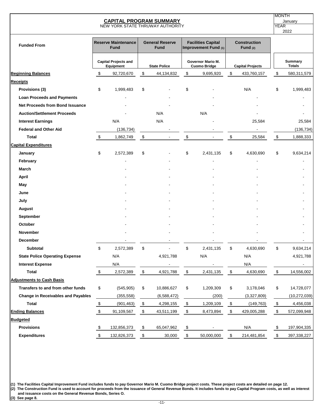|                                           | <b>MONTH</b><br><b>YEAR</b> | January<br>2022                           |                            |                                       |                           |                                                   |                                                   |                                   |                             |                          |
|-------------------------------------------|-----------------------------|-------------------------------------------|----------------------------|---------------------------------------|---------------------------|---------------------------------------------------|---------------------------------------------------|-----------------------------------|-----------------------------|--------------------------|
| <b>Funded From</b>                        |                             | <b>Reserve Maintenance</b><br><b>Fund</b> |                            | <b>General Reserve</b><br><b>Fund</b> |                           | <b>Facilities Capital</b><br>Improvement Fund (1) |                                                   | <b>Construction</b><br>Fund $(2)$ |                             |                          |
|                                           |                             | <b>Capital Projects and</b><br>Equipment  |                            | <b>State Police</b>                   |                           | Governor Mario M.<br><b>Cuomo Bridge</b>          |                                                   | <b>Capital Projects</b>           |                             | Summary<br><b>Totals</b> |
| <b>Beginning Balances</b>                 | \$                          | 92,720,670                                | \$                         | 44,134,832                            | \$                        | 9,695,920                                         | \$                                                | 433,760,157                       | \$                          | 580,311,579              |
| <b>Receipts</b>                           |                             |                                           |                            |                                       |                           |                                                   |                                                   |                                   |                             |                          |
| Provisions (3)                            | \$                          | 1,999,483                                 | \$                         |                                       | \$                        |                                                   |                                                   | N/A                               | \$                          | 1,999,483                |
| <b>Loan Proceeds and Payments</b>         |                             |                                           |                            |                                       |                           |                                                   |                                                   |                                   |                             |                          |
| <b>Net Proceeds from Bond Issuance</b>    |                             |                                           |                            |                                       |                           |                                                   |                                                   |                                   |                             |                          |
| <b>Auction/Settlement Proceeds</b>        |                             |                                           |                            | N/A                                   |                           | N/A                                               |                                                   |                                   |                             |                          |
| <b>Interest Earnings</b>                  |                             | N/A                                       |                            | N/A                                   |                           |                                                   |                                                   | 25,584                            |                             | 25,584                   |
| <b>Federal and Other Aid</b>              |                             | (136, 734)                                |                            |                                       |                           |                                                   |                                                   |                                   |                             | (136, 734)               |
| Total                                     | \$                          | 1,862,749                                 | \$                         |                                       | \$                        |                                                   | \$                                                | 25,584                            | \$                          | 1,888,333                |
| <b>Capital Expenditures</b>               |                             |                                           |                            |                                       |                           |                                                   |                                                   |                                   |                             |                          |
| January                                   | \$                          | 2,572,389                                 | \$                         |                                       | \$                        | 2,431,135                                         | \$                                                | 4,630,690                         | \$                          | 9,634,214                |
| February                                  |                             |                                           |                            |                                       |                           |                                                   |                                                   |                                   |                             |                          |
| March                                     |                             |                                           |                            |                                       |                           |                                                   |                                                   |                                   |                             |                          |
| <b>April</b>                              |                             |                                           |                            |                                       |                           |                                                   |                                                   |                                   |                             |                          |
| May                                       |                             |                                           |                            |                                       |                           |                                                   |                                                   |                                   |                             |                          |
| June                                      |                             |                                           |                            |                                       |                           |                                                   |                                                   |                                   |                             |                          |
| July                                      |                             |                                           |                            |                                       |                           |                                                   |                                                   |                                   |                             |                          |
| <b>August</b>                             |                             |                                           |                            |                                       |                           |                                                   |                                                   |                                   |                             |                          |
| September                                 |                             |                                           |                            |                                       |                           |                                                   |                                                   |                                   |                             |                          |
| October                                   |                             |                                           |                            |                                       |                           |                                                   |                                                   |                                   |                             |                          |
| <b>November</b>                           |                             |                                           |                            |                                       |                           |                                                   |                                                   |                                   |                             |                          |
| <b>December</b>                           |                             |                                           |                            |                                       |                           |                                                   |                                                   |                                   |                             |                          |
| <b>Subtotal</b>                           | \$                          | 2,572,389                                 | \$                         |                                       | \$                        | 2,431,135                                         | \$                                                | 4,630,690                         | \$                          | 9,634,214                |
| <b>State Police Operating Expense</b>     |                             | N/A                                       |                            | 4,921,788                             |                           | N/A                                               |                                                   | N/A                               |                             | 4,921,788                |
| <b>Interest Expense</b>                   |                             | N/A                                       |                            |                                       |                           |                                                   |                                                   | N/A                               |                             |                          |
| <b>Total</b>                              | $\sqrt[6]{\frac{1}{2}}$     | 2,572,389                                 | $\boldsymbol{\mathsf{\$}}$ | 4,921,788                             | $\sqrt[6]{\frac{1}{2}}$   | 2,431,135                                         | $\,$                                              | 4,630,690                         | $\boldsymbol{\mathfrak{s}}$ | 14,556,002               |
| <b>Adjustments to Cash Basis</b>          |                             |                                           |                            |                                       |                           |                                                   |                                                   |                                   |                             |                          |
| Transfers to and from other funds         | \$                          | (545, 905)                                | \$                         | 10,886,627                            | \$                        | 1,209,309                                         | \$                                                | 3,178,046                         | \$                          | 14,728,077               |
| <b>Change in Receivables and Payables</b> |                             | (355, 558)                                |                            | (6,588,472)                           |                           | (200)                                             |                                                   | (3,327,809)                       |                             | (10, 272, 039)           |
| <b>Total</b>                              | $\frac{\$}{}$               | (901, 463)                                | $\sqrt[6]{\frac{1}{2}}$    | 4,298,155                             | $\sqrt[6]{\frac{1}{2}}$   | 1,209,109                                         | $\sqrt[6]{\frac{2}{5}}$                           | (149, 763)                        | $\sqrt{2}$                  | 4,456,038                |
| <b>Ending Balances</b>                    | $\sqrt[6]{2}$               | 91,109,567                                | $\boldsymbol{\mathsf{S}}$  | 43,511,199                            | $\sqrt[6]{3}$             | 8,473,894                                         | $\, \, \raisebox{-1.5pt}{\text{\circle*{1.5}}}\,$ | 429,005,288                       | $\boldsymbol{\mathsf{\$}}$  | 572,099,948              |
| <b>Budgeted</b>                           |                             |                                           |                            |                                       |                           |                                                   |                                                   |                                   |                             |                          |
| <b>Provisions</b>                         | \$                          | 132,856,373                               | \$                         | 65,047,962                            | $\boldsymbol{\mathsf{S}}$ |                                                   |                                                   | N/A                               | \$                          | 197,904,335              |
| <b>Expenditures</b>                       | $\sqrt[6]{\frac{1}{2}}$     | 132,826,373                               | $\sqrt{2}$                 | 30,000                                | $\sqrt[6]{\frac{1}{2}}$   | 50,000,000                                        | $\sqrt{2}$                                        | 214,481,854                       | $\sqrt{2}$                  | 397,338,227              |

**(1) The Facilities Capital Improvement Fund includes funds to pay Governor Mario M. Cuomo Bridge project costs. These project costs are detailed on page 12. (2) The Construction Fund is used to account for proceeds from the issuance of General Revenue Bonds. It includes funds to pay Capital Program costs, as well as interest and issuance costs on the General Revenue Bonds, Series O.**

**(3) See page 8.**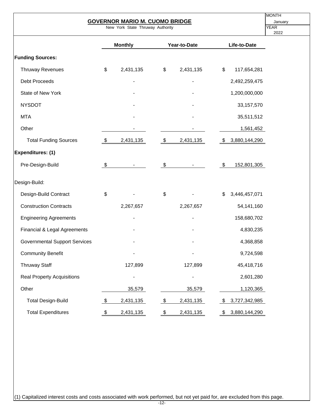| <b>MONTH</b><br><b>GOVERNOR MARIO M. CUOMO BRIDGE</b> |               |                |            |                |               |                 |  |  |  |  |  |
|-------------------------------------------------------|---------------|----------------|------------|----------------|---------------|-----------------|--|--|--|--|--|
| New York State Thruway Authority                      |               |                |            |                |               |                 |  |  |  |  |  |
|                                                       |               | <b>Monthly</b> |            | Year-to-Date   |               | Life-to-Date    |  |  |  |  |  |
| <b>Funding Sources:</b>                               |               |                |            |                |               |                 |  |  |  |  |  |
| <b>Thruway Revenues</b>                               | \$            | 2,431,135      | \$         | 2,431,135      | $\frac{1}{2}$ | 117,654,281     |  |  |  |  |  |
| <b>Debt Proceeds</b>                                  |               |                |            |                |               | 2,492,259,475   |  |  |  |  |  |
| State of New York                                     |               |                |            |                |               | 1,200,000,000   |  |  |  |  |  |
| <b>NYSDOT</b>                                         |               |                |            |                |               | 33, 157, 570    |  |  |  |  |  |
| <b>MTA</b>                                            |               |                |            |                |               | 35,511,512      |  |  |  |  |  |
| Other                                                 |               |                |            |                |               | 1,561,452       |  |  |  |  |  |
| <b>Total Funding Sources</b>                          | $\sqrt[6]{3}$ | 2,431,135      | $\sqrt{3}$ | 2,431,135      |               | \$3,880,144,290 |  |  |  |  |  |
| Expenditures: (1)                                     |               |                |            |                |               |                 |  |  |  |  |  |
| Pre-Design-Build                                      | \$            |                | \$         |                | \$            | 152,801,305     |  |  |  |  |  |
| Design-Build:                                         |               |                |            |                |               |                 |  |  |  |  |  |
| Design-Build Contract                                 | \$            |                | \$         |                | \$            | 3,446,457,071   |  |  |  |  |  |
| <b>Construction Contracts</b>                         |               | 2,267,657      |            | 2,267,657      |               | 54,141,160      |  |  |  |  |  |
| <b>Engineering Agreements</b>                         |               |                |            |                |               | 158,680,702     |  |  |  |  |  |
| Financial & Legal Agreements                          |               |                |            |                |               | 4,830,235       |  |  |  |  |  |
| <b>Governmental Support Services</b>                  |               |                |            |                |               | 4,368,858       |  |  |  |  |  |
| <b>Community Benefit</b>                              |               |                |            |                |               | 9,724,598       |  |  |  |  |  |
| <b>Thruway Staff</b>                                  |               | 127,899        |            | 127,899        |               | 45,418,716      |  |  |  |  |  |
| <b>Real Property Acquisitions</b>                     |               |                |            | $\blacksquare$ |               | 2,601,280       |  |  |  |  |  |
| Other                                                 |               | 35,579         |            | 35,579         |               | 1,120,365       |  |  |  |  |  |
| <b>Total Design-Build</b>                             | \$            | 2,431,135      | \$         | 2,431,135      | S.            | 3,727,342,985   |  |  |  |  |  |
| <b>Total Expenditures</b>                             | \$            | 2,431,135      | \$         | 2,431,135      | \$            | 3,880,144,290   |  |  |  |  |  |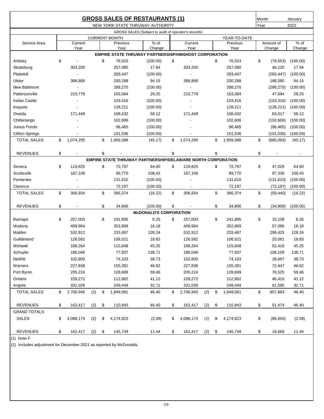|                        |                 |          |                      | <b>GROSS SALES OF RESTAURANTS (1)</b>                              |                 |          |                 |      | Month      | January                  |
|------------------------|-----------------|----------|----------------------|--------------------------------------------------------------------|-----------------|----------|-----------------|------|------------|--------------------------|
|                        |                 |          |                      | NEW YORK STATE THRUWAY AUTHORITY                                   |                 |          |                 | Year |            | 2022                     |
|                        |                 |          |                      | GROSS SALES (Subject to audit of operator's records)               |                 |          |                 |      |            |                          |
|                        |                 |          | <b>CURRENT MONTH</b> |                                                                    |                 |          | YEAR-TO-DATE    |      |            |                          |
| Service Area           | Current         |          | Previous             | $%$ of                                                             | Current         |          | Previous        |      | Amount of  | $%$ of                   |
|                        | Year            |          | Year                 | Change                                                             | Year            |          | Year            |      | Change     | Change                   |
|                        |                 |          |                      | <b>EMPIRE STATE THRUWAY PARTNERSHIP/HMSHOST CORPORATION</b>        |                 |          |                 |      |            |                          |
| Ardsley                | \$              |          | \$<br>76,553         | (100.00)                                                           | \$              |          | \$<br>76,553    | \$   | (76, 553)  | (100.00)                 |
| Sloatsburg             | 303,200         |          | 257,080              | 17.94                                                              | 303,200         |          | 257,080         |      | 46,120     | 17.94                    |
| Plattekill             |                 |          | 283,447              | (100.00)                                                           |                 |          | 283,447         |      | (283, 447) | (100.00)                 |
| Ulster                 | 388,868         |          | 200,288              | 94.15                                                              | 388,868         |          | 200,288         |      | 188,580    | 94.15                    |
| <b>New Baltimore</b>   |                 |          | 288,270              | (100.00)                                                           |                 |          | 288,270         |      | (288, 270) | (100.00)                 |
| Pattersonville         | 210,778         |          | 163,084              | 29.25                                                              | 210,778         |          | 163,084         |      | 47,694     | 29.25                    |
| <b>Indian Castle</b>   | $\blacksquare$  |          | 103,416              | (100.00)                                                           |                 |          | 103,416         |      | (103, 416) | (100.00)                 |
| Iroquois               |                 |          | 128,211              | (100.00)                                                           |                 |          | 128,211         |      | (128, 211) | (100.00)                 |
| Oneida                 | 171,449         |          | 108,432              | 58.12                                                              | 171,449         |          | 108,432         |      | 63,017     | 58.12                    |
| Chittenango            |                 |          | 102,606              | (100.00)                                                           |                 |          | 102,606         |      | (102, 606) | (100.00)                 |
| Junius Ponds           |                 |          | 96,465               | (100.00)                                                           |                 |          | 96,465          |      | (96, 465)  | (100.00)                 |
| <b>Clifton Springs</b> |                 |          | 151,536              | (100.00)                                                           |                 |          | 151,536         |      | (151, 536) | (100.00)                 |
| <b>TOTAL SALES</b>     | \$<br>1,074,295 |          | \$<br>1,959,388      | (45.17)                                                            | \$<br>1,074,295 |          | \$<br>1,959,388 | \$   | (885,093)  | (45.17)                  |
| <b>REVENUES</b>        | \$              |          | \$                   |                                                                    | \$              |          | \$              | \$   |            | $\overline{\phantom{a}}$ |
|                        |                 |          |                      | <b>EMPIRE STATE THRUWAY PARTNERSHIP/DELAWARE NORTH CORPORATION</b> |                 |          |                 |      |            |                          |
| Seneca                 | \$<br>119,825   |          | \$<br>72,797         | 64.60                                                              | \$<br>119,825   |          | \$<br>72,797    | \$   | 47,028     | 64.60                    |
| Scottsville            | 187,109         |          | 89,770               | 108.43                                                             | 187,109         |          | 89,770          |      | 97,339     | 108.43                   |
| Pembroke               |                 |          | 131,610              | (100.00)                                                           |                 |          | 131,610         |      | (131, 610) | (100.00)                 |
| Clarence               |                 |          | 72,197               | (100.00)                                                           |                 |          | 72,197          |      | (72, 197)  | (100.00)                 |
| <b>TOTAL SALES</b>     | \$<br>306,934   |          | \$<br>366,374        | (16.22)                                                            | \$<br>306,934   |          | \$<br>366,374   | \$   | (59, 440)  | (16.22)                  |
| <b>REVENUES</b>        | \$              |          | \$<br>34,806         | (100.00)                                                           | \$              |          | \$<br>34,806    | \$   | (34, 806)  | (100.00)                 |
|                        |                 |          |                      | <b>McDONALD'S CORPORATION</b>                                      |                 |          |                 |      |            |                          |
| Ramapo                 | \$<br>257,003   |          | \$<br>241,895        | 6.25                                                               | \$<br>257,003   |          | \$<br>241,895   | \$   | 15,108     | 6.25                     |
| Modena                 | 409,964         |          | 352,869              | 16.18                                                              | 409,964         |          | 352,869         |      | 57,095     | 16.18                    |
| Malden                 | 532,912         |          | 233,487              | 128.24                                                             | 532,912         |          | 233,487         |      | 299,425    | 128.24                   |
| Guilderland            | 126,582         |          | 106,521              | 18.83                                                              | 126,582         |          | 106,521         |      | 20,061     | 18.83                    |
| Mohawk                 | 168,264         |          | 115,848              | 45.25                                                              | 168,264         |          | 115,848         |      | 52,416     | 45.25                    |
| Schuyler               | 186,046         |          | 77,937               | 138.71                                                             | 186,046         |          | 77,937          |      | 108,109    | 138.71                   |
| DeWitt                 | 102,800         |          | 74,103               | 38.73                                                              | 102,800         |          | 74,103          |      | 28,697     | 38.73                    |
| Warners                |                 |          |                      | 46.62                                                              |                 |          |                 |      |            |                          |
| Port Byron             | 227,838         |          | 155,391              | 59.46                                                              | 227,838         |          | 155,391         |      | 72,447     | 46.62<br>59.46           |
|                        | 205,224         |          | 128,699              |                                                                    | 205,224         |          | 128,699         |      | 76,525     |                          |
| Ontario                | 159,272         |          | 112,862              | 41.12                                                              | 159,272         |          | 112,862         |      | 46,410     | 41.12                    |
| Angola                 | 331,039         |          | 249,449              | 32.71                                                              | 331,039         |          | 249,449         |      | 81,590     | 32.71                    |
| <b>TOTAL SALES</b>     | \$<br>2,706,945 | $(2)$ \$ | 1,849,061            | 46.40                                                              | \$<br>2,706,945 | $(2)$ \$ | 1,849,061       | \$   | 857,883    | 46.40                    |
| <b>REVENUES</b>        | \$<br>162,417   | $(2)$ \$ | 110,943              | 46.40                                                              | \$<br>162,417   | $(2)$ \$ | 110,943         | \$   | 51,474     | 46.40                    |
| <b>GRAND TOTALS</b>    |                 |          |                      |                                                                    |                 |          |                 |      |            |                          |
| SALES                  | \$<br>4,088,174 | $(2)$ \$ | 4,174,823            | (2.08)                                                             | \$<br>4,088,174 | $(2)$ \$ | 4,174,823       | \$   | (86, 650)  | (2.08)                   |
| <b>REVENUES</b>        | \$<br>162,417   | $(2)$ \$ | 145,749              | 11.44                                                              | \$<br>162,417   | $(2)$ \$ | 145,749         | \$   | 16,668     | 11.44                    |

(1) Note F.

(2) Includes adjustment for December 2021 as reported by McDonalds.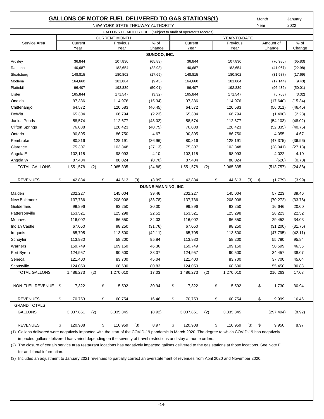|                                                                  |    |                   |     |    | <b>GALLONS OF MOTOR FUEL DELIVERED TO GAS STATIONS(1)</b>      |     |                           |    |                   |     |                    |          | Month |            | January            |
|------------------------------------------------------------------|----|-------------------|-----|----|----------------------------------------------------------------|-----|---------------------------|----|-------------------|-----|--------------------|----------|-------|------------|--------------------|
|                                                                  |    |                   |     |    | NEW YORK STATE THRUWAY AUTHORITY                               |     |                           |    |                   |     |                    |          | Year  |            | 2022               |
|                                                                  |    |                   |     |    | GALLONS OF MOTOR FUEL (Subject to audit of operator's records) |     |                           |    |                   |     |                    |          |       |            |                    |
|                                                                  |    |                   |     |    | <b>CURRENT MONTH</b>                                           |     |                           |    |                   |     | YEAR-TO-DATE       |          |       |            |                    |
| Service Area                                                     |    | Current           |     |    | Previous                                                       |     | $%$ of<br>Change          |    | Current           |     | Previous           |          |       | Amount of  | $%$ of             |
| Year<br>Year<br>Year<br>Year<br>Change<br>Change<br>SUNOCO, INC. |    |                   |     |    |                                                                |     |                           |    |                   |     |                    |          |       |            |                    |
| Ardsley                                                          |    | 36,844            |     |    | 107,830                                                        |     | (65.83)                   |    | 36,844            |     | 107,830            |          |       | (70, 986)  |                    |
| Ramapo                                                           |    | 140,687           |     |    | 182,654                                                        |     | (22.98)                   |    | 140,687           |     | 182,654            |          |       | (41, 967)  | (65.83)<br>(22.98) |
| Sloatsburg                                                       |    | 148,815           |     |    | 180,802                                                        |     | (17.69)                   |    | 148,815           |     | 180,802            |          |       |            | (17.69)            |
| Modena                                                           |    |                   |     |    | 181,804                                                        |     | (9.43)                    |    |                   |     | 181,804            |          |       | (31, 987)  |                    |
| Plattekill                                                       |    | 164,660<br>96,407 |     |    | 192,839                                                        |     |                           |    | 164,660<br>96,407 |     | 192,839            |          |       | (17, 144)  | (9.43)             |
| Ulster                                                           |    |                   |     |    | 171,547                                                        |     | (50.01)                   |    | 165,844           |     | 171,547            |          |       | (96, 432)  | (50.01)            |
| Oneida                                                           |    | 165,844           |     |    |                                                                |     | (3.32)                    |    |                   |     |                    |          |       | (5,703)    | (3.32)             |
| Chittenango                                                      |    | 97,336<br>64,572  |     |    | 114,976<br>120,583                                             |     | (15.34)<br>(46.45)        |    | 97,336<br>64,572  |     | 114,976<br>120,583 |          |       | (17, 640)  | (15.34)            |
| <b>DeWitt</b>                                                    |    |                   |     |    |                                                                |     |                           |    |                   |     |                    |          |       | (56, 011)  | (46.45)            |
| Junius Ponds                                                     |    | 65,304            |     |    | 66,794                                                         |     | (2.23)                    |    | 65,304            |     | 66,794             |          |       | (1,490)    | (2.23)             |
|                                                                  |    | 58,574            |     |    | 112,677                                                        |     | (48.02)                   |    | 58,574            |     | 112,677            |          |       | (54, 103)  | (48.02)            |
| <b>Clifton Springs</b>                                           |    | 76,088            |     |    | 128,423                                                        |     | (40.75)                   |    | 76,088            |     | 128,423            |          |       | (52, 335)  | (40.75)            |
| Ontario<br>Pembroke                                              |    | 90,805            |     |    | 86,750                                                         |     | 4.67                      |    | 90,805            |     | 86,750             |          |       | 4,055      | 4.67               |
|                                                                  |    | 80,816            |     |    | 128,191                                                        |     | (36.96)                   |    | 80,816            |     | 128,191            |          |       | (47, 375)  | (36.96)            |
| Clarence                                                         |    | 75,307            |     |    | 103,348                                                        |     | (27.13)                   |    | 75,307            |     | 103,348            |          |       | (28, 041)  | (27.13)            |
| Angola E                                                         |    | 102,115           |     |    | 98,093                                                         |     | 4.10                      |    | 102,115           |     | 98,093             |          |       | 4,022      | 4.10               |
| Angola W                                                         |    | 87,404            |     |    | 88,024                                                         |     | (0.70)                    |    | 87,404            |     | 88,024             |          |       | (620)      | (0.70)             |
| <b>TOTAL GALLONS</b>                                             |    | 1,551,578         | (2) |    | 2,065,335                                                      |     | (24.88)                   |    | 1,551,578         | (2) | 2,065,335          |          |       | (513, 757) | (24.88)            |
| <b>REVENUES</b>                                                  | \$ | 42,834            |     | \$ | 44,613                                                         | (3) | (3.99)                    | \$ | 42,834            |     | \$<br>44,613       | (3)      | \$    | (1,779)    | (3.99)             |
|                                                                  |    |                   |     |    |                                                                |     | <b>DUNNE-MANNING, INC</b> |    |                   |     |                    |          |       |            |                    |
| Malden                                                           |    | 202,227           |     |    | 145,004                                                        |     | 39.46                     |    | 202,227           |     | 145,004            |          |       | 57,223     | 39.46              |
| New Baltimore                                                    |    | 137,736           |     |    | 208,008                                                        |     | (33.78)                   |    | 137,736           |     | 208,008            |          |       | (70, 272)  | (33.78)            |
| Guilderland                                                      |    | 99,896            |     |    | 83,250                                                         |     | 20.00                     |    | 99,896            |     | 83,250             |          |       | 16,646     | 20.00              |
| Pattersonville                                                   |    | 153,521           |     |    | 125,298                                                        |     | 22.52                     |    | 153,521           |     | 125,298            |          |       | 28,223     | 22.52              |
| Mohawk                                                           |    | 116,002           |     |    | 86,550                                                         |     | 34.03                     |    | 116,002           |     | 86,550             |          |       | 29,452     | 34.03              |
| <b>Indian Castle</b>                                             |    | 67,050            |     |    | 98,250                                                         |     | (31.76)                   |    | 67,050            |     | 98,250             |          |       | (31, 200)  | (31.76)            |
| Iroquois                                                         |    | 65,705            |     |    | 113,500                                                        |     | (42.11)                   |    | 65,705            |     | 113,500            |          |       | (47, 795)  | (42.11)            |
| Schuyler                                                         |    | 113,980           |     |    | 58,200                                                         |     | 95.84                     |    | 113,980           |     | 58,200             |          |       | 55,780     | 95.84              |
| Warners                                                          |    | 159,749           |     |    | 109,150                                                        |     | 46.36                     |    | 159,749           |     | 109,150            |          |       | 50,599     | 46.36              |
| Port Byron                                                       |    | 124,957           |     |    | 90,500                                                         |     | 38.07                     |    | 124,957           |     | 90,500             |          |       | 34,457     | 38.07              |
| Seneca                                                           |    | 121,400           |     |    | 83,700                                                         |     | 45.04                     |    | 121,400           |     | 83,700             |          |       | 37,700     | 45.04              |
| Scottsville                                                      |    | 124,050           |     |    | 68,600                                                         |     | 80.83                     |    | 124,050           |     | 68,600             |          |       | 55,450     | 80.83              |
| <b>TOTAL GALLONS</b>                                             |    | 1,486,273         | (2) |    | 1,270,010                                                      |     | 17.03                     |    | 1,486,273         | (2) | 1,270,010          |          |       | 216,263    | 17.03              |
|                                                                  |    |                   |     |    |                                                                |     |                           |    |                   |     |                    |          |       |            |                    |
| NON-FUEL REVENUE \$                                              |    | 7,322             |     | \$ | 5,592                                                          |     | 30.94                     | \$ | 7,322             |     | \$<br>5,592        |          | \$    | 1,730      | 30.94              |
| <b>REVENUES</b>                                                  | \$ | 70,753            |     | \$ | 60,754                                                         |     | 16.46                     | \$ | 70,753            |     | \$<br>60,754       |          | \$    | 9,999      | 16.46              |
| <b>GRAND TOTALS</b>                                              |    |                   |     |    |                                                                |     |                           |    |                   |     |                    |          |       |            |                    |
| <b>GALLONS</b>                                                   |    | 3,037,851         | (2) |    | 3,335,345                                                      |     | (8.92)                    |    | 3,037,851         | (2) | 3,335,345          |          |       | (297, 494) | (8.92)             |
|                                                                  |    |                   |     |    |                                                                |     |                           |    |                   |     |                    |          |       |            |                    |
| <b>REVENUES</b>                                                  | \$ | 120,908           |     | \$ | 110,959                                                        | (3) | 8.97                      | \$ | 120,908           |     | \$<br>110,959      | $(3)$ \$ |       | 9,950      | 8.97               |

(1) Gallons delivered were negatively impacted with the start of the COVID-19 pandemic in March 2020. The degree to which COVID-19 has negatively impacted gallons delivered has varied depending on the severity of travel restrictions and stay at home orders.

(2) The closure of certain service area restaurant locations has negatively impacted gallons delivered to the gas stations at those locations. See Note F for additional information.

(3) Includes an adjustment to January 2021 revenues to partially correct an overstatement of revenues from April 2020 and November 2020.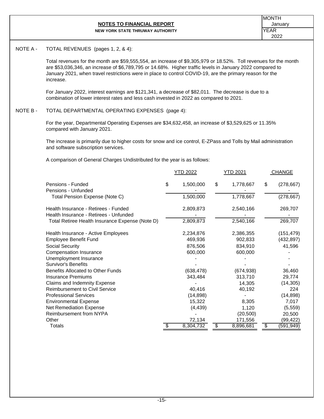#### **NOTES TO FINANCIAL REPORT CONSIDERING A REPORT January NEW YORK STATE THRUWAY AUTHORITY**

#### NOTE A - TOTAL REVENUES (pages 1, 2, & 4):

Total revenues for the month are \$59,555,554, an increase of \$9,305,979 or 18.52%. Toll revenues for the month are \$53,036,346, an increase of \$6,789,795 or 14.68%. Higher traffic levels in January 2022 compared to January 2021, when travel restrictions were in place to control COVID-19, are the primary reason for the increase.

For January 2022, interest earnings are \$121,341, a decrease of \$82,011. The decrease is due to a combination of lower interest rates and less cash invested in 2022 as compared to 2021.

# NOTE B - TOTAL DEPARTMENTAL OPERATING EXPENSES (page 4):

For the year, Departmental Operating Expenses are \$34,632,458, an increase of \$3,529,625 or 11.35% compared with January 2021.

The increase is primarily due to higher costs for snow and ice control, E-ZPass and Tolls by Mail administration and software subscription services.

A comparison of General Charges Undistributed for the year is as follows:

|                                                                            | <u>YTD 2022</u>              | YTD 2021                     |                 | <b>CHANGE</b>            |
|----------------------------------------------------------------------------|------------------------------|------------------------------|-----------------|--------------------------|
| Pensions - Funded<br>Pensions - Unfunded<br>Total Pension Expense (Note C) | \$<br>1,500,000<br>1,500,000 | \$<br>1,778,667<br>1,778,667 | \$              | (278, 667)<br>(278, 667) |
| Health Insurance - Retirees - Funded                                       | 2,809,873                    | 2,540,166                    |                 | 269,707                  |
| Health Insurance - Retirees - Unfunded                                     |                              |                              |                 |                          |
| Total Retiree Health Insurance Expense (Note D)                            | 2,809,873                    | 2,540,166                    |                 | 269,707                  |
| Health Insurance - Active Employees                                        | 2,234,876                    | 2,386,355                    |                 | (151, 479)               |
| <b>Employee Benefit Fund</b>                                               | 469,936                      | 902,833                      |                 | (432, 897)               |
| Social Security                                                            | 876,506                      | 834,910                      |                 | 41,596                   |
| <b>Compensation Insurance</b>                                              | 600,000                      | 600,000                      |                 |                          |
| Unemployment Insurance                                                     |                              |                              |                 |                          |
| <b>Survivor's Benefits</b>                                                 |                              |                              |                 |                          |
| Benefits Allocated to Other Funds                                          | (638, 478)                   | (674, 938)                   |                 | 36,460                   |
| <b>Insurance Premiums</b>                                                  | 343,484                      | 313,710                      |                 | 29,774                   |
| Claims and Indemnity Expense                                               |                              | 14,305                       |                 | (14, 305)                |
| <b>Reimbursement to Civil Service</b>                                      | 40,416                       | 40,192                       |                 | 224                      |
| <b>Professional Services</b>                                               | (14, 898)                    |                              |                 | (14, 898)                |
| <b>Environmental Expense</b>                                               | 15,322                       | 8,305                        |                 | 7,017                    |
| <b>Net Remediation Expense</b>                                             | (4, 439)                     | 1,120                        |                 | (5, 559)                 |
| Reimbursement from NYPA                                                    |                              | (20, 500)                    |                 | 20,500                   |
| Other                                                                      | 72,134                       | 171,556                      |                 | (99, 422)                |
| Totals                                                                     | \$<br>8,304,732              | \$<br>8,896,681              | $\overline{\$}$ | (591,949)                |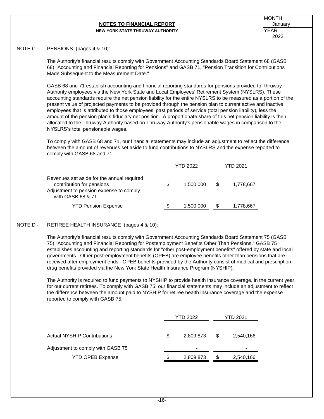#### **NOTES TO FINANCIAL REPORT CONSUMING THE SET OF A LIGAN SET OF A LIGAN SET OF A LIGAN SET OF A LIGA SET OF A LIGA NEW YORK STATE THRUWAY AUTHORITY**

# NOTE C - PENSIONS (pages 4 & 10):

The Authority's financial results comply with Government Accounting Standards Board Statement 68 (GASB 68) "Accounting and Financial Reporting for Pensions" and GASB 71, "Pension Transition for Contributions Made Subsequent to the Measurement Date."

GASB 68 and 71 establish accounting and financial reporting standards for pensions provided to Thruway Authority employees via the New York State and Local Employees' Retirement System (NYSLRS). These accounting standards require the net pension liability for the entire NYSLRS to be measured as a portion of the present value of projected payments to be provided through the pension plan to current active and inactive employees that is attributed to those employees' past periods of service (total pension liability), less the amount of the pension plan's fiduciary net position. A proportionate share of this net pension liability is then allocated to the Thruway Authority based on Thruway Authority's pensionable wages in comparison to the NYSLRS's total pensionable wages.

To comply with GASB 68 and 71, our financial statements may include an adjustment to reflect the difference between the amount of revenues set aside to fund contributions to NYSLRS and the expense reported to comply with GASB 68 and 71.

|                                                                                                                                         |   | YTD 2022                    |     | YTD 2021  |
|-----------------------------------------------------------------------------------------------------------------------------------------|---|-----------------------------|-----|-----------|
| Revenues set aside for the annual required<br>contribution for pensions<br>Adjustment to pension expense to comply<br>with GASB 68 & 71 | S | 1.500.000<br>$\blacksquare$ | \$. | 1,778,667 |
| <b>YTD Pension Expense</b>                                                                                                              | S | 1,500,000                   |     | 1,778,667 |

# NOTE D - RETIREE HEALTH INSURANCE (pages 4 & 10):

The Authority's financial results comply with Government Accounting Standards Board Statement 75 (GASB 75) "Accounting and Financial Reporting for Postemployment Benefits Other Than Pensions." GASB 75 establishes accounting and reporting standards for "other post-employment benefits" offered by state and local governments. Other post-employment benefits (OPEB) are employee benefits other than pensions that are received after employment ends. OPEB benefits provided by the Authority consist of medical and prescription drug benefits provided via the New York State Health Insurance Program (NYSHIP).

The Authority is required to fund payments to NYSHIP to provide health insurance coverage, in the current year, for our current retirees. To comply with GASB 75, our financial statements may include an adjustment to reflect the difference between the amount paid to NYSHIP for retiree health insurance coverage and the expense reported to comply with GASB 75.

|                                    |    | YTD 2022  | YTD 2021 |           |  |  |
|------------------------------------|----|-----------|----------|-----------|--|--|
| <b>Actual NYSHIP Contributions</b> | \$ | 2,809,873 | S        | 2,540,166 |  |  |
| Adjustment to comply with GASB 75  |    | -         |          |           |  |  |
| <b>YTD OPEB Expense</b>            | S  | 2,809,873 | \$       | 2,540,166 |  |  |